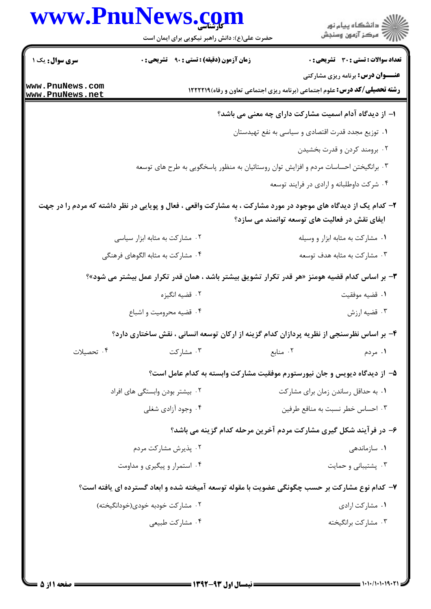|                                    | حضرت علی(ع): دانش راهبر نیکویی برای ایمان است                                                                  |                                                                                    | د<br>آه دانشڪاه پيام نور<br>آج "مرڪز آزمون وسنڊش |
|------------------------------------|----------------------------------------------------------------------------------------------------------------|------------------------------------------------------------------------------------|--------------------------------------------------|
| <b>سری سوال :</b> یک ۱             | زمان آزمون (دقیقه) : تستی : ۹۰٪ تشریحی : ۰                                                                     |                                                                                    | <b>تعداد سوالات : تستی : 30 ٪ تشریحی : 0</b>     |
| www.PnuNews.com<br>www.PnuNews.net |                                                                                                                | <b>رشته تحصیلی/کد درس:</b> علوم اجتماعی (برنامه ریزی اجتماعی تعاون و رفاه)1۲۲۲۱۹ ا | <b>عنـــوان درس:</b> برنامه ریزی مشارکتی         |
|                                    |                                                                                                                | ۱– از دیدگاه آدام اسمیت مشارکت دارای چه معنی می باشد؟                              |                                                  |
|                                    |                                                                                                                | ۰۱ توزیع مجدد قدرت اقتصادی و سیاسی به نفع تهیدستان                                 |                                                  |
|                                    |                                                                                                                |                                                                                    | ۰۲ برومند کردن و قدرت بخشیدن                     |
|                                    | ۰۳ برانگیختن احساسات مردم و افزایش توان روستائیان به منظور پاسخگویی به طرح های توسعه                           |                                                                                    |                                                  |
|                                    |                                                                                                                |                                                                                    | ۰۴ شرکت داوطلبانه و ارادی در فرایند توسعه        |
|                                    | ۲- کدام یک از دیدگاه های موجود در مورد مشارکت ، به مشارکت واقعی ، فعال و پویایی در نظر داشته که مردم را در جهت | ایفای نقش در فعالیت های توسعه توانمند می سازد؟                                     |                                                  |
|                                    | ۰۲ مشارکت به مثابه ابزار سیاسی                                                                                 |                                                                                    | ۰۱ مشارکت به مثابه ابزار و وسیله                 |
|                                    | ۰۴ مشارکت به مثابه الگوهای فرهنگی                                                                              |                                                                                    | ۰۳ مشارکت به مثابه هدف توسعه                     |
|                                    | ۳- بر اساس کدام قضیه هومنز «هر قدر تکرار تشویق بیشتر باشد ، همان قدر تکرار عمل بیشتر می شود»؟                  |                                                                                    |                                                  |
|                                    | ۰۲ قضیه انگیزه                                                                                                 |                                                                                    | ٠١ قضيه موفقيت                                   |
|                                    | ۰۴ قضیه محرومیت و اشباع                                                                                        |                                                                                    | ۰۳ قضیه ارزش                                     |
|                                    | ۴- بر اساس نظرسنجی از نظریه پردازان کدام گزینه از ارکان توسعه انسانی ، نقش ساختاری دارد؟                       |                                                                                    |                                                  |
| ۰۴ تحصیلات                         | ۰۳ مشارکت                                                                                                      | ۰۲ منابع                                                                           | ۰۱ مردم                                          |
|                                    | ۵– از دیدگاه دیویس و جان نیورستورم موفقیت مشارکت وابسته به کدام عامل است؟                                      |                                                                                    |                                                  |
|                                    | ۰۲ بیشتر بودن وابستگی های افراد                                                                                |                                                                                    | ۰۱ به حداقل رساندن زمان برای مشارکت              |
|                                    | ۰۴ وجود آزادی شغلی                                                                                             |                                                                                    | ۰۳ احساس خطر نسبت به منافع طرفین                 |
|                                    |                                                                                                                | ۶– در فرآیند شکل گیری مشارکت مردم آخرین مرحله کدام گزینه می باشد؟                  |                                                  |
|                                    | ۰۲ پذیرش مشارکت مردم                                                                                           |                                                                                    | ۰۱ سازماندهی                                     |
|                                    | ۰۴ استمرار و پیگیری و مداومت                                                                                   |                                                                                    | ۰۳ پشتیبانی و حمایت                              |
|                                    | ۷- کدام نوع مشارکت بر حسب چگونگی عضویت با مقوله توسعه آمیخته شده و ابعاد گسترده ای یافته است؟                  |                                                                                    |                                                  |
|                                    | ۰۲ مشارکت خودبه خودی(خودانگیخته)                                                                               |                                                                                    | ۰۱ مشارکت ارادی                                  |
|                                    | ۰۴ مشارکت طبیعی                                                                                                |                                                                                    | ۰۳ مشاركت برانگيخته                              |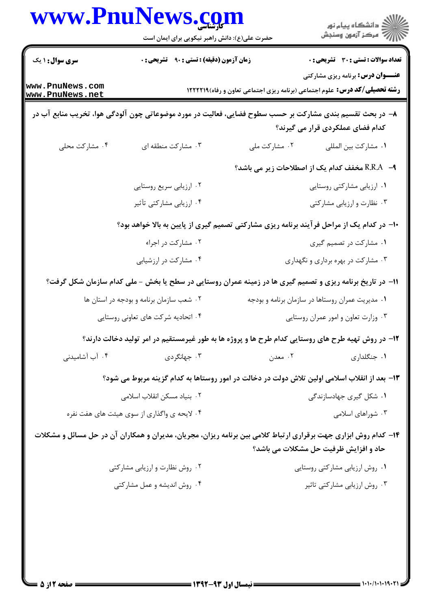|                                    | www.Pnulvews.com<br>حضرت علی(ع): دانش راهبر نیکویی برای ایمان است                                                            |                                                  | ≦ دانشڪاه پيام نور<br>7- مرڪز آزمون وسنڊش    |  |
|------------------------------------|------------------------------------------------------------------------------------------------------------------------------|--------------------------------------------------|----------------------------------------------|--|
| <b>سری سوال : ۱ یک</b>             | زمان آزمون (دقیقه) : تستی : ۹۰٪ تشریحی : ۰                                                                                   |                                                  | <b>تعداد سوالات : تستی : 30 - تشریحی : 0</b> |  |
| www.PnuNews.com<br>www.PnuNews.net | <b>عنـــوان درس:</b> برنامه ریزی مشارکتی<br><b>رشته تحصیلی/کد درس:</b> علوم اجتماعی (برنامه ریزی اجتماعی تعاون و رفاه)1۲۲۲۱۹ |                                                  |                                              |  |
|                                    | ۸– در بحث تقسیم بندی مشارکت بر حسب سطوح فضایی، فعالیت در مورد موضوعاتی چون آلودگی هوا، تخریب منابع آب در                     |                                                  | کدام فضای عملکردی قرار می گیرند؟             |  |
| ۰۴ مشارکت محلی                     | ۰۳ مشارکت منطقه ای                                                                                                           | ۰۲ مشارکت ملی                                    | ٠١. مشاركت بين المللي                        |  |
|                                    |                                                                                                                              | R.R.A –۹ مخفف كدام يك از اصطلاحات زير مي باشد؟   |                                              |  |
|                                    | ۰۲ ارزیابی سریع روستایی                                                                                                      |                                                  | ۰۱ ارزیابی مشارکتی روستایی                   |  |
|                                    | ۰۴ ارزیابی مشارکتی تأثیر                                                                                                     |                                                  | ۰۳ نظارت و ارزیابی مشارکتی                   |  |
|                                    | +ا– در کدام یک از مراحل فرآیند برنامه ریزی مشارکتی تصمیم گیری از پایین به بالا خواهد بود؟                                    |                                                  |                                              |  |
|                                    | ۰۲ مشارکت در اجراء                                                                                                           |                                                  | ۰۱ مشارکت در تصمیم گیری                      |  |
|                                    | ۰۴ مشارکت در ارزشیابی                                                                                                        |                                                  | ۰۳ مشارکت در بهره برداری و نگهداری           |  |
|                                    | 11- در تاریخ برنامه ریزی و تصمیم گیری ها در زمینه عمران روستایی در سطح یا بخش - ملی کدام سازمان شکل گرفت؟                    |                                                  |                                              |  |
|                                    | ۰۲ شعب سازمان برنامه و بودجه در استان ها                                                                                     | ۰۱ مدیریت عمران روستاها در سازمان برنامه و بودجه |                                              |  |
|                                    | ۰۴ اتحادیه شرکت های تعاونی روستایی                                                                                           |                                                  | ۰۳ وزارت تعاون و امور عمران روستایی          |  |
|                                    | ۱۲- در روش تهیه طرح های روستایی کدام طرح ها و پروژه ها به طور غیرمستقیم در امر تولید دخالت دارند؟                            |                                                  |                                              |  |
| ۰۴ آب آشامیدنی                     | ۰۳ جهانگردی                                                                                                                  | ٢. معدن                                          | ۰۱ جنگلداری                                  |  |
|                                    | ۱۳– بعد از انقلاب اسلامی اولین تلاش دولت در دخالت در امور روستاها به کدام گزینه مربوط می شود؟                                |                                                  |                                              |  |
|                                    | ۰۲ بنیاد مسکن انقلاب اسلامی                                                                                                  | ۰۱ شکل گیری جهادسازندگی                          |                                              |  |
|                                    | ۰۴ لایحه ی واگذاری از سوی هیئت های هفت نفره                                                                                  | ۰۳ شوراهای اسلامی                                |                                              |  |
|                                    | ۱۴- کدام روش ابزاری جهت برقراری ارتباط کلامی بین برنامه ریزان، مجریان، مدیران و همکاران آن در حل مسائل و مشکلات              | حاد و افزایش ظرفیت حل مشکلات می باشد؟            |                                              |  |
|                                    | ۰۲ روش نظارت و ارزیابی مشارکتی                                                                                               |                                                  | ۰۱ روش ارزیابی مشارکتی روستایی               |  |
|                                    | ۰۴ روش اندیشه و عمل مشارکتی                                                                                                  |                                                  | ۰۳ روش ارزیابی مشارکتی تاثیر                 |  |
|                                    |                                                                                                                              |                                                  |                                              |  |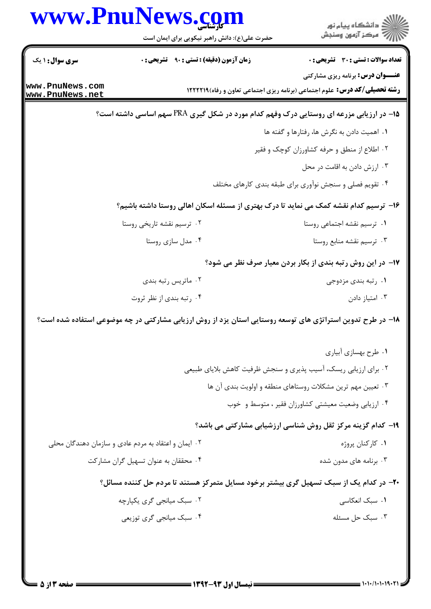|                                    | www.PnuNews.com<br>حضرت علی(ع): دانش راهبر نیکویی برای ایمان است | ر<br>ران دانشگاه پيام نور<br>ران مرکز آزمون وسنڊش                                                          |
|------------------------------------|------------------------------------------------------------------|------------------------------------------------------------------------------------------------------------|
| <b>سری سوال : ۱ یک</b>             | <b>زمان آزمون (دقیقه) : تستی : ۹۰ قشریحی : 0</b>                 | <b>تعداد سوالات : تستی : 30 ٪ تشریحی : 0</b>                                                               |
|                                    |                                                                  | <b>عنـــوان درس:</b> برنامه ریزی مشارکتی                                                                   |
| www.PnuNews.com<br>www.PnuNews.net |                                                                  | <b>رشته تحصیلی/کد درس:</b> علوم اجتماعی (برنامه ریزی اجتماعی تعاون و رفاه) ۱۲۲۲۲۱۹                         |
|                                    |                                                                  | <b>۱۵</b> - در ارزیابی مزرعه ای روستایی درک وفهم کدام مورد در شکل گیری PRA سهم اساسی داشته است؟            |
|                                    |                                                                  | ۰۱ اهمیت دادن به نگرش ها، رفتارها و گفته ها                                                                |
|                                    |                                                                  | ۰۲ اطلاع از منطق و حرفه کشاورزان کوچک و فقیر                                                               |
|                                    |                                                                  | ۰۳ ارزش دادن به اقامت در محل                                                                               |
|                                    |                                                                  | ۰۴ تقویم فصلی و سنجش نوآوری برای طبقه بندی کارهای مختلف                                                    |
|                                    |                                                                  | ۱۶– ترسیم کدام نقشه کمک می نماید تا درک بهتری از مسئله اسکان اهالی روستا داشته باشیم؟                      |
|                                    | ۰۲ ترسیم نقشه تاریخی روستا                                       | ۰۱ ترسیم نقشه اجتماعی روستا                                                                                |
|                                    | ۰۴ مدل سازی روستا                                                | ۰۳ ترسیم نقشه منابع روستا                                                                                  |
|                                    |                                                                  | ۱۷– در این روش رتبه بندی از بکار بردن معیار صرف نظر می شود؟                                                |
|                                    | ۰۲ ماتریس رتبه بندی                                              | ۰۱ رتبه بندی مزدوجی                                                                                        |
|                                    | ۰۴ رتبه بندی از نظر ثروت                                         | ۰۳ امتياز دادن                                                                                             |
|                                    |                                                                  | ۱۸– در طرح تدوین استراتژی های توسعه روستایی استان یزد از روش ارزیابی مشارکتی در چه موضوعی استفاده شده است؟ |
|                                    |                                                                  | ۰۱ طرح بهسازی آبیاری                                                                                       |
|                                    |                                                                  | ۰۲ برای ارزیابی ریسک، آسیب پذیری و سنجش ظرفیت کاهش بلایای طبیعی                                            |
|                                    |                                                                  | ۰۳ تعیین مهم ترین مشکلات روستاهای منطقه و اولویت بندی آن ها                                                |
|                                    |                                                                  | ۰۴ ارزیابی وضعیت معیشتی کشاورزان فقیر ، متوسط و خوب                                                        |
|                                    |                                                                  | ۱۹- کدام گزینه مرکز ثقل روش شناسی ارزشیابی مشارکتی می باشد؟                                                |
|                                    | ۰۲ ایمان و اعتقاد به مردم عادی و سازمان دهندگان محلی             | ۰۱ کارکنان پروژه                                                                                           |
|                                    | ۰۴ محققان به عنوان تسهیل گران مشارکت                             | ۰۳ برنامه های مدون شده                                                                                     |
|                                    |                                                                  | ۲۰- در کدام یک از سبک تسهیل گری بیشتر برخود مسایل متمرکز هستند تا مردم حل کننده مسائل؟                     |
|                                    | ۲. سبک میانجی گری یکیارچه                                        | ٠١. سبک انعکاسی                                                                                            |
|                                    | ۰۴ سبک میانجی گری توزیعی                                         | ۰۳ سبک حل مسئله                                                                                            |
|                                    |                                                                  |                                                                                                            |
|                                    |                                                                  |                                                                                                            |
|                                    |                                                                  |                                                                                                            |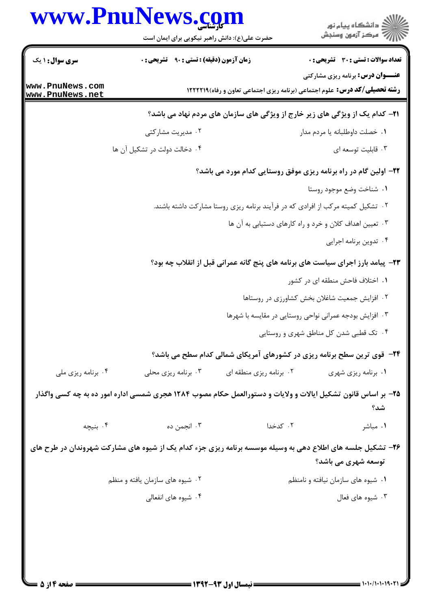| <b>سری سوال : ۱ یک</b>             |                                                   |                                                                                                              |                                                         |
|------------------------------------|---------------------------------------------------|--------------------------------------------------------------------------------------------------------------|---------------------------------------------------------|
|                                    | <b>زمان آزمون (دقیقه) : تستی : ۹۰٪ تشریحی : 0</b> |                                                                                                              | <b>تعداد سوالات : تستی : 30 - تشریحی : 0</b>            |
| www.PnuNews.com<br>www.PnuNews.net |                                                   | <b>رشته تحصیلی/کد درس:</b> علوم اجتماعی (برنامه ریزی اجتماعی تعاون و رفاه)1222211                            | <b>عنـــوان درس:</b> برنامه ریزی مشارکتی                |
|                                    |                                                   | <b>۲۱</b> - کدام یک از ویژگی های زیر خارج از ویژگی های سازمان های مردم نهاد می باشد؟                         |                                                         |
|                                    | ۰۲ مدیریت مشارکتی                                 |                                                                                                              | ٠١. خصلت داوطلبانه يا مردم مدار                         |
|                                    | ۰۴ دخالت دولت در تشکیل آن ها                      |                                                                                                              | ۰۳ قابلیت توسعه ای                                      |
|                                    |                                                   | ۲۲- اولین گام در راه برنامه ریزی موفق روستایی کدام مورد می باشد؟                                             |                                                         |
|                                    |                                                   |                                                                                                              | ٠١. شناخت وضع موجود روستا                               |
|                                    |                                                   | ۰۲ تشکیل کمیته مرکب از افرادی که در فرآیند برنامه ریزی روستا مشارکت داشته باشند.                             |                                                         |
|                                    |                                                   |                                                                                                              | ۰۳ تعیین اهداف کلان و خرد و راه کارهای دستیابی به آن ها |
|                                    |                                                   |                                                                                                              | ۰۴ تدوین برنامه اجرایی                                  |
|                                    |                                                   | ۲۳- پیامد بارز اجرای سیاست های برنامه های پنج گانه عمرانی قبل از انقلاب چه بود؟                              |                                                         |
|                                    |                                                   |                                                                                                              | ۰۱ اختلاف فاحش منطقه ای در کشور                         |
|                                    |                                                   |                                                                                                              | ٠٢ افزايش جمعيت شاغلان بخش كشاورزى در روستاها           |
|                                    |                                                   |                                                                                                              | ۰۳ افزایش بودجه عمرانی نواحی روستایی در مقایسه با شهرها |
|                                    |                                                   |                                                                                                              | ۰۴ تک قطبی شدن کل مناطق شهری و روستایی                  |
|                                    |                                                   | <b>۲۴</b> - قوی ترین سطح برنامه ریزی در کشورهای آمریکای شمالی کدام سطح می باشد؟                              |                                                         |
| ۰۴ برنامه ریزی ملی                 | ۰۳ برنامه ریزی محلی                               | ۰۲ برنامه ریزی منطقه ای                                                                                      | ۰۱ برنامه ریزی شهری                                     |
|                                    |                                                   | ۲۵– بر اساس قانون تشکیل ایالات و ولایات و دستورالعمل حکام مصوب ۱۲۸۴ هجری شمسی اداره امور ده به چه کسی واگذار | شد؟                                                     |
| ۰۴ بنیچه                           | ۰۳ انجمن ده                                       | ۰۲ کدخدا                                                                                                     | ۰۱ مباشر                                                |
|                                    |                                                   | ۲۶– تشکیل جلسه های اطلاع دهی به وسیله موسسه برنامه ریزی جزء کدام یک از شیوه های مشارکت شهروندان در طرح های   | <b>توسعه شهری می باشد؟</b>                              |
|                                    | ۰۲ شیوه های سازمان یافته و منظم                   |                                                                                                              | ۰۱ شیوه های سازمان نیافته و نامنظم                      |
|                                    | ۰۴ شیوه های انفعالی                               |                                                                                                              | ۰۳ شیوه های فعال                                        |